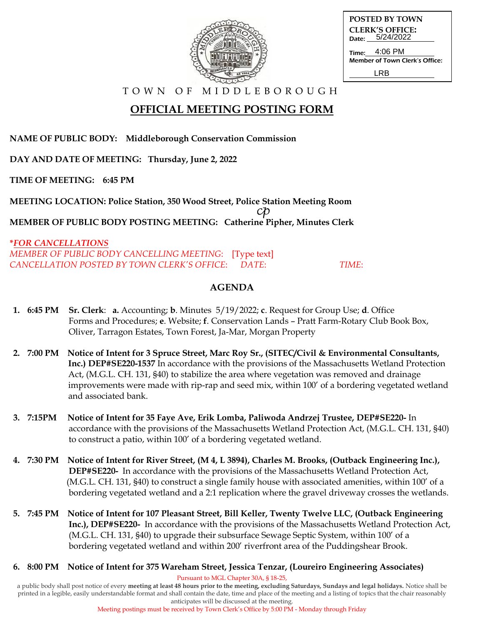| 0.000 |  |
|-------|--|
|       |  |

| <b>POSTED BY TOWN</b>                         |
|-----------------------------------------------|
| <b>CLERK'S OFFICE:</b><br>Date: 5/24/2022     |
| Time: 4:06 PM                                 |
| <b>Member of Town Clerk's Office:</b><br>I RR |

# **OFFICIAL MEETING POSTING FORM**

**NAME OF PUBLIC BODY: Middleborough Conservation Commission**

**DAY AND DATE OF MEETING: Thursday, June 2, 2022**

**TIME OF MEETING: 6:45 PM**

**MEETING LOCATION: Police Station, 350 Wood Street, Police Station Meeting Room**  $c\mathcal{P}$ **MEMBER OF PUBLIC BODY POSTING MEETING: Catherine Pipher, Minutes Clerk**

**\****FOR CANCELLATIONS MEMBER OF PUBLIC BODY CANCELLING MEETING*: [Type text] *CANCELLATION POSTED BY TOWN CLERK'S OFFICE*: *DATE*: *TIME*:

### **AGENDA**

- **1. 6:45 PM Sr. Clerk**: **a.** Accounting; **b**. Minutes 5/19/2022; **c**. Request for Group Use; **d**. Office Forms and Procedures; **e**. Website; **f**. Conservation Lands – Pratt Farm-Rotary Club Book Box, Oliver, Tarragon Estates, Town Forest, Ja-Mar, Morgan Property
- **2. 7:00 PM Notice of Intent for 3 Spruce Street, Marc Roy Sr., (SITEC/Civil & Environmental Consultants, Inc.) DEP#SE220-1537** In accordance with the provisions of the Massachusetts Wetland ProtectionAct, (M.G.L. CH. 131, §40) to stabilize the area where vegetation was removed and drainage improvements were made with rip-rap and seed mix, within 100' of a bordering vegetated wetland and associated bank.
- **3. 7:15PM Notice of Intent for 35 Faye Ave, Erik Lomba, Paliwoda Andrzej Trustee, DEP#SE220-** In accordance with the provisions of the Massachusetts Wetland Protection Act, (M.G.L. CH. 131, §40) to construct a patio, within 100' of a bordering vegetated wetland.
- **4. 7:30 PM Notice of Intent for River Street, (M 4, L 3894), Charles M. Brooks, (Outback Engineering Inc.), DEP#SE220-** In accordance with the provisions of the Massachusetts Wetland Protection Act, (M.G.L. CH. 131, §40) to construct a single family house with associated amenities, within 100' of a bordering vegetated wetland and a 2:1 replication where the gravel driveway crosses the wetlands.
- **5. 7:45 PM Notice of Intent for 107 Pleasant Street, Bill Keller, Twenty Twelve LLC, (Outback Engineering Inc.), DEP#SE220-** In accordance with the provisions of the Massachusetts Wetland Protection Act, (M.G.L. CH. 131, §40) to upgrade their subsurface Sewage Septic System, within 100' of a bordering vegetated wetland and within 200' riverfront area of the Puddingshear Brook.
- **6. 8:00 PM Notice of Intent for 375 Wareham Street, Jessica Tenzar, (Loureiro Engineering Associates)**

Pursuant to MGL Chapter 30A, § 18-25,

a public body shall post notice of every **meeting at least 48 hours prior to the meeting, excluding Saturdays, Sundays and legal holidays.** Notice shall be printed in a legible, easily understandable format and shall contain the date, time and place of the meeting and a listing of topics that the chair reasonably anticipates will be discussed at the meeting.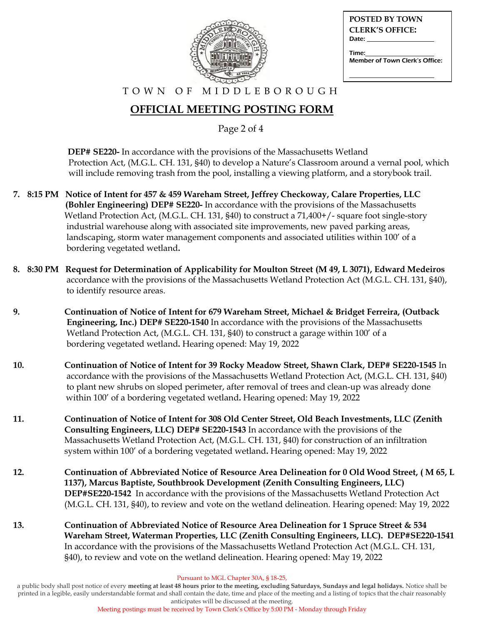| <b>POSTED BY TOWN</b>                                                                                                                                                                                                          |
|--------------------------------------------------------------------------------------------------------------------------------------------------------------------------------------------------------------------------------|
| <b>CLERK'S OFFICE:</b>                                                                                                                                                                                                         |
| Date: the contract of the contract of the contract of the contract of the contract of the contract of the contract of the contract of the contract of the contract of the contract of the contract of the contract of the cont |
| Time:                                                                                                                                                                                                                          |
| Member of Town Clerk's Office:                                                                                                                                                                                                 |
|                                                                                                                                                                                                                                |

# **OFFICIAL MEETING POSTING FORM**

Page 2 of 4

 **DEP# SE220-** In accordance with the provisions of the Massachusetts Wetland Protection Act, (M.G.L. CH. 131, §40) to develop a Nature's Classroom around a vernal pool, which will include removing trash from the pool, installing a viewing platform, and a storybook trail.

- **7. 8:15 PM Notice of Intent for 457 & 459 Wareham Street, Jeffrey Checkoway, Calare Properties, LLC (Bohler Engineering) DEP# SE220-** In accordance with the provisions of the Massachusetts Wetland Protection Act, (M.G.L. CH. 131, §40) to construct a 71,400+/- square foot single-story industrial warehouse along with associated site improvements, new paved parking areas, landscaping, storm water management components and associated utilities within 100' of a bordering vegetated wetland**.**
- **8. 8:30 PM Request for Determination of Applicability for Moulton Street (M 49, L 3071), Edward Medeiros** accordance with the provisions of the Massachusetts Wetland Protection Act (M.G.L. CH. 131, §40), to identify resource areas.
- **9. Continuation of Notice of Intent for 679 Wareham Street, Michael & Bridget Ferreira, (Outback Engineering, Inc.) DEP# SE220-1540** In accordance with the provisions of the Massachusetts Wetland Protection Act, (M.G.L. CH. 131, §40) to construct a garage within 100' of a bordering vegetated wetland**.** Hearing opened: May 19, 2022
- **10. Continuation of Notice of Intent for 39 Rocky Meadow Street, Shawn Clark, DEP# SE220-1545** In accordance with the provisions of the Massachusetts Wetland Protection Act, (M.G.L. CH. 131, §40) to plant new shrubs on sloped perimeter, after removal of trees and clean-up was already done within 100' of a bordering vegetated wetland**.** Hearing opened: May 19, 2022
- **11. Continuation of Notice of Intent for 308 Old Center Street, Old Beach Investments, LLC (Zenith Consulting Engineers, LLC) DEP# SE220-1543** In accordance with the provisions of the Massachusetts Wetland Protection Act, (M.G.L. CH. 131, §40) for construction of an infiltration system within 100' of a bordering vegetated wetland**.** Hearing opened: May 19, 2022
- **12. Continuation of Abbreviated Notice of Resource Area Delineation for 0 Old Wood Street, ( M 65, L 1137), Marcus Baptiste, Southbrook Development (Zenith Consulting Engineers, LLC) DEP#SE220-1542** In accordance with the provisions of the Massachusetts Wetland Protection Act (M.G.L. CH. 131, §40), to review and vote on the wetland delineation. Hearing opened: May 19, 2022
- **13. Continuation of Abbreviated Notice of Resource Area Delineation for 1 Spruce Street & 534 Wareham Street, Waterman Properties, LLC (Zenith Consulting Engineers, LLC). DEP#SE220-1541** In accordance with the provisions of the Massachusetts Wetland Protection Act (M.G.L. CH. 131, §40), to review and vote on the wetland delineation. Hearing opened: May 19, 2022

Pursuant to MGL Chapter 30A, § 18-25,

a public body shall post notice of every **meeting at least 48 hours prior to the meeting, excluding Saturdays, Sundays and legal holidays.** Notice shall be printed in a legible, easily understandable format and shall contain the date, time and place of the meeting and a listing of topics that the chair reasonably anticipates will be discussed at the meeting.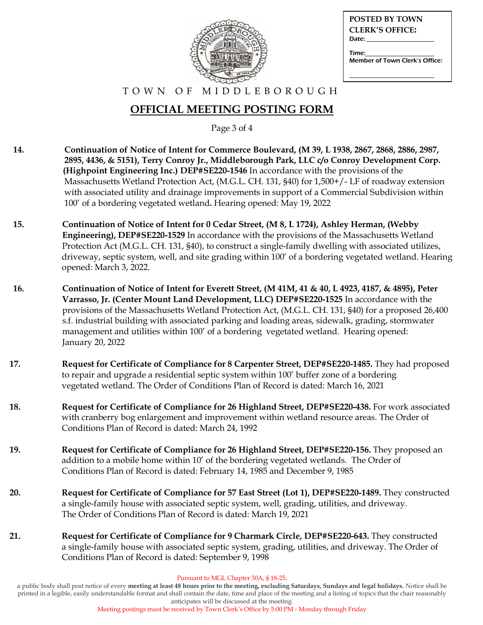

| <b>POSTED BY TOWN</b>                   |
|-----------------------------------------|
| <b>CLERK'S OFFICE:</b>                  |
| Date:                                   |
| Time:<br>Member of Town Clerk's Office: |

## **OFFICIAL MEETING POSTING FORM**

Page 3 of 4

- **14. Continuation of Notice of Intent for Commerce Boulevard, (M 39, L 1938, 2867, 2868, 2886, 2987, 2895, 4436, & 5151), Terry Conroy Jr., Middleborough Park, LLC c/o Conroy Development Corp. (Highpoint Engineering Inc.) DEP#SE220-1546** In accordance with the provisions of the Massachusetts Wetland Protection Act, (M.G.L. CH. 131, §40) for 1,500+/- LF of roadway extension with associated utility and drainage improvements in support of a Commercial Subdivision within 100' of a bordering vegetated wetland**.** Hearing opened: May 19, 2022
- **15. Continuation of Notice of Intent for 0 Cedar Street, (M 8, L 1724), Ashley Herman, (Webby Engineering), DEP#SE220-1529** In accordance with the provisions of the Massachusetts Wetland Protection Act (M.G.L. CH. 131, §40), to construct a single-family dwelling with associated utilizes, driveway, septic system, well, and site grading within 100' of a bordering vegetated wetland. Hearing opened: March 3, 2022.
- **16. Continuation of Notice of Intent for Everett Street, (M 41M, 41 & 40, L 4923, 4187, & 4895), Peter Varrasso, Jr. (Center Mount Land Development, LLC) DEP#SE220-1525** In accordance with the provisions of the Massachusetts Wetland Protection Act, (M.G.L. CH. 131, §40) for a proposed 26,400 s.f. industrial building with associated parking and loading areas, sidewalk, grading, stormwater management and utilities within 100' of a bordering vegetated wetland. Hearing opened: January 20, 2022
- **17. Request for Certificate of Compliance for 8 Carpenter Street, DEP#SE220-1485.** They had proposed to repair and upgrade a residential septic system within 100' buffer zone of a bordering vegetated wetland. The Order of Conditions Plan of Record is dated: March 16, 2021
- **18. Request for Certificate of Compliance for 26 Highland Street, DEP#SE220-438.** For work associated with cranberry bog enlargement and improvement within wetland resource areas. The Order of Conditions Plan of Record is dated: March 24, 1992
- **19. Request for Certificate of Compliance for 26 Highland Street, DEP#SE220-156.** They proposed an addition to a mobile home within 10' of the bordering vegetated wetlands. The Order of Conditions Plan of Record is dated: February 14, 1985 and December 9, 1985
- **20. Request for Certificate of Compliance for 57 East Street (Lot 1), DEP#SE220-1489.** They constructed a single-family house with associated septic system, well, grading, utilities, and driveway. The Order of Conditions Plan of Record is dated: March 19, 2021
- **21. Request for Certificate of Compliance for 9 Charmark Circle, DEP#SE220-643.** They constructed a single-family house with associated septic system, grading, utilities, and driveway. The Order of Conditions Plan of Record is dated: September 9, 1998

Pursuant to MGL Chapter 30A, § 18-25,

a public body shall post notice of every **meeting at least 48 hours prior to the meeting, excluding Saturdays, Sundays and legal holidays.** Notice shall be printed in a legible, easily understandable format and shall contain the date, time and place of the meeting and a listing of topics that the chair reasonably anticipates will be discussed at the meeting.